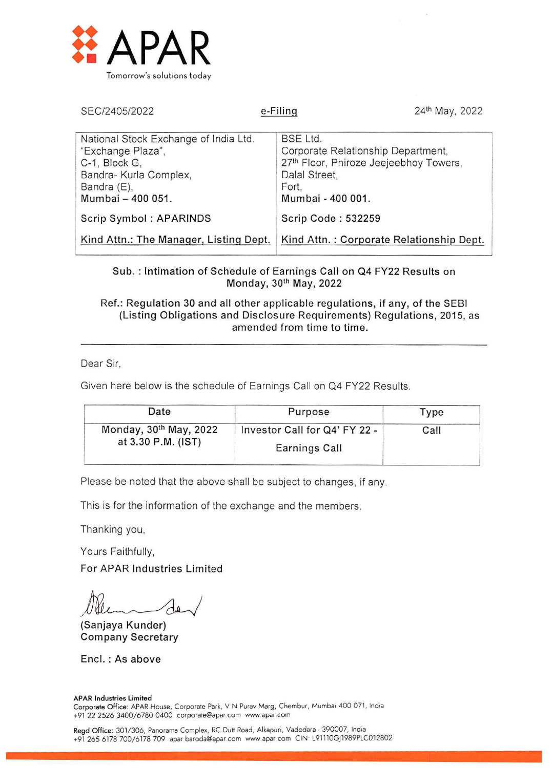

| SEC/2405/2022                                                                                                                             | 24th May, 2022<br>e-Filing                                                                                                                     |
|-------------------------------------------------------------------------------------------------------------------------------------------|------------------------------------------------------------------------------------------------------------------------------------------------|
| National Stock Exchange of India Ltd.<br>"Exchange Plaza",<br>C-1, Block G,<br>Bandra- Kurla Complex,<br>Bandra (E),<br>Mumbai - 400 051. | <b>BSE Ltd.</b><br>Corporate Relationship Department,<br>27th Floor, Phiroze Jeejeebhoy Towers,<br>Dalal Street.<br>Fort.<br>Mumbai - 400 001. |
| Scrip Symbol: APARINDS                                                                                                                    | Scrip Code: 532259                                                                                                                             |
| Kind Attn.: The Manager, Listing Dept.                                                                                                    | Kind Attn.: Corporate Relationship Dept.                                                                                                       |

Sub. : Intimation of Schedule of Earnings Call on Q4 FY22 Results on Monday, 30th May, 2022

Ref.: Regulation 30 and all other applicable regulations, if any, of the SEBI (Listing Obligations and Disclosure Requirements) Regulations, 2015, as amended from time to time.

Dear Sir.

Given here below is the schedule of Earnings Call on Q4 FY22 Results.

| Date                                                     | Purpose                       | Type |
|----------------------------------------------------------|-------------------------------|------|
| Monday, 30 <sup>th</sup> May, 2022<br>at 3.30 P.M. (IST) | Investor Call for Q4' FY 22 - | Call |
|                                                          | Earnings Call                 |      |

Please be noted that the above shall be subject to changes, if any.

This is for the information of the exchange and the members.

Thanking you,

Yours Faithfully,

For APAR Industries Limited

/J

(Sanjaya Kunder) Company Secretary

Encl. : As above

#### APAR Industries Limited

Corporate Office: APAR House, Corporate Park, V N Purav Marg, Chembur, Mumbai 400 071, India +91 22 2526 3400/6780 0400 corporate@apar.com www apar.com

Regd Office: 301/306, Panorama Complex, RC Dutt Road, Alkapuri, Vadodara - 390007, India +91 265 6178 700/6178 709 apar baroda@apar corn www spar corn CIN L91110GJ1989PLC012802